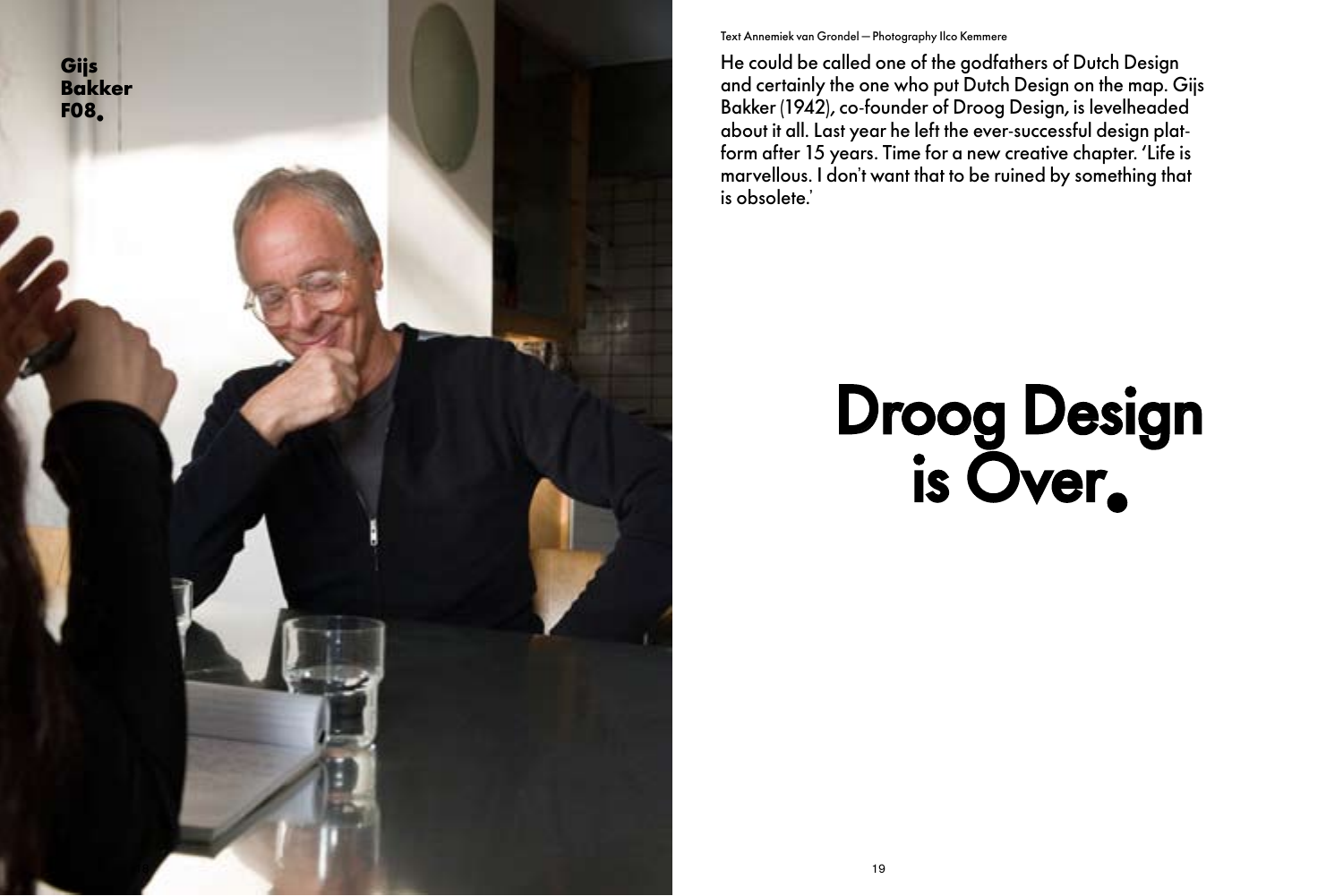

# Droog Design is Over.

### Text Annemiek van Grondel — Photography Ilco Kemmere

He could be called one of the godfathers of Dutch Design and certainly the one who put Dutch Design on the map. Gijs Bakker (1942), co-founder of Droog Design, is levelheaded about it all. Last year he left the ever-successful design platform after 15 years. Time for a new creative chapter. 'Life is marvellous. I don't want that to be ruined by something that is obsolete.'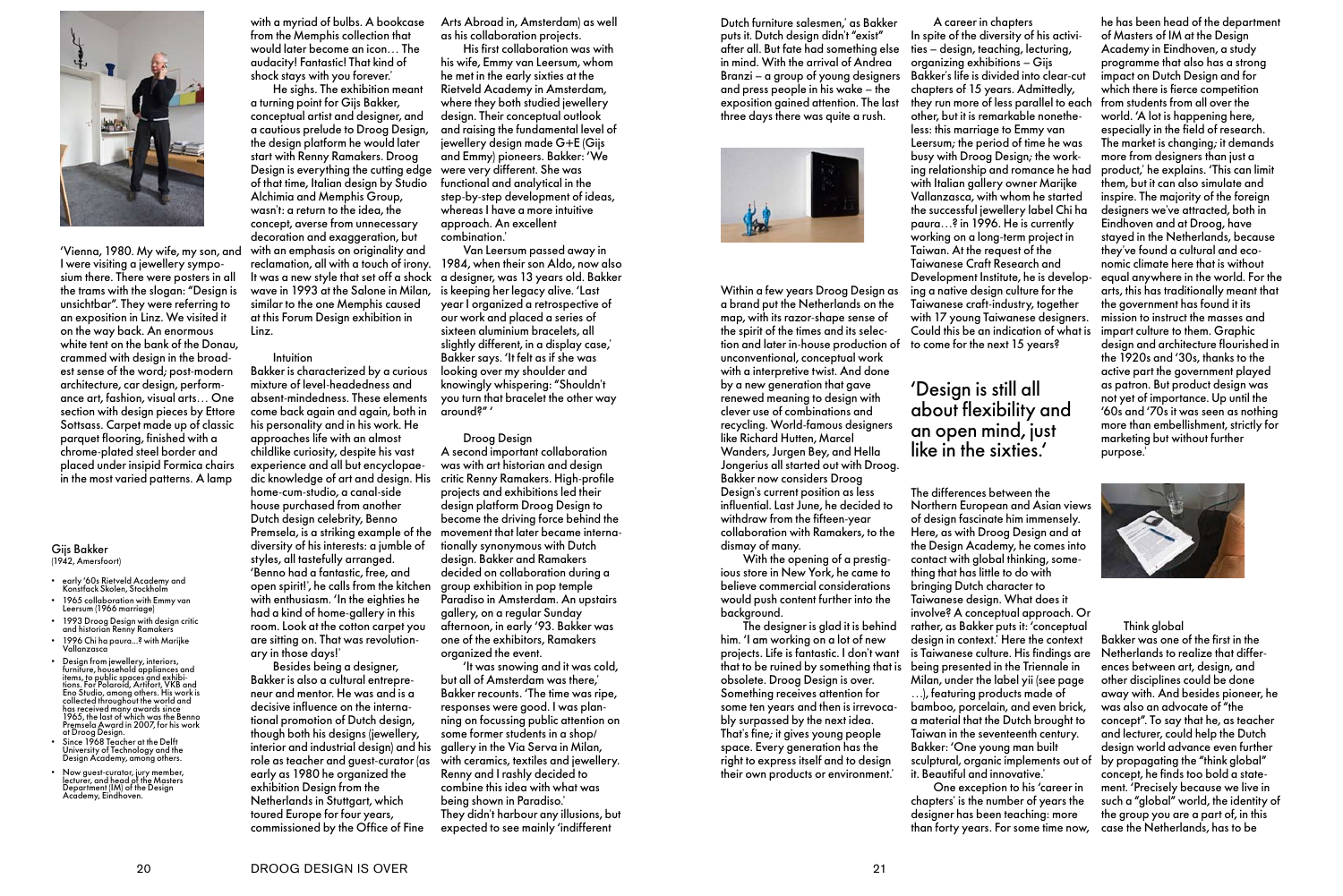

'Vienna, 1980. My wife, my son, and I were visiting a jewellery symposium there. There were posters in all the trams with the slogan: "Design is unsichtbar". They were referring to an exposition in Linz. We visited it on the way back. An enormous white tent on the bank of the Donau, crammed with design in the broadest sense of the word; post-modern architecture, car design, performance art, fashion, visual arts… One section with design pieces by Ettore Sottsass. Carpet made up of classic parquet flooring, finished with a chrome-plated steel border and placed under insipid Formica chairs in the most varied patterns. A lamp

with a myriad of bulbs. A bookcase from the Memphis collection that would later become an icon… The audacity! Fantastic! That kind of shock stays with you forever.'

He sighs. The exhibition meant a turning point for Gijs Bakker, conceptual artist and designer, and a cautious prelude to Droog Design, the design platform he would later start with Renny Ramakers. Droog Design is everything the cutting edge of that time, Italian design by Studio Alchimia and Memphis Group, wasn't: a return to the idea, the concept, averse from unnecessary decoration and exaggeration, but with an emphasis on originality and reclamation, all with a touch of irony. It was a new style that set off a shock wave in 1993 at the Salone in Milan, similar to the one Memphis caused at this Forum Design exhibition in Linz.

#### Intuition

Bakker is characterized by a curious mixture of level-headedness and absent-mindedness. These elements come back again and again, both in his personality and in his work. He approaches life with an almost childlike curiosity, despite his vast experience and all but encyclopaedic knowledge of art and design. His home-cum-studio, a canal-side house purchased from another Dutch design celebrity, Benno Premsela, is a striking example of the diversity of his interests: a jumble of styles, all tastefully arranged. 'Benno had a fantastic, free, and open spirit!', he calls from the kitchen with enthusiasm. 'In the eighties he had a kind of home-gallery in this room. Look at the cotton carpet you are sitting on. That was revolutionary in those days!'

Besides being a designer, Bakker is also a cultural entrepreneur and mentor. He was and is a decisive influence on the international promotion of Dutch design, though both his designs (jewellery, interior and industrial design) and his role as teacher and guest-curator (as early as 1980 he organized the exhibition Design from the Netherlands in Stuttgart, which toured Europe for four years, commissioned by the Office of Fine

Arts Abroad in, Amsterdam) as well as his collaboration projects.

His first collaboration was with his wife, Emmy van Leersum, whom he met in the early sixties at the Rietveld Academy in Amsterdam, where they both studied jewellery design. Their conceptual outlook and raising the fundamental level of jewellery design made G+E (Gijs and Emmy) pioneers. Bakker: 'We were very different. She was functional and analytical in the step-by-step development of ideas, whereas I have a more intuitive approach. An excellent combination.'

Van Leersum passed away in 1984, when their son Aldo, now also a designer, was 13 years old. Bakker is keeping her legacy alive. 'Last year I organized a retrospective of our work and placed a series of sixteen aluminium bracelets, all slightly different, in a display case,' Bakker says. 'It felt as if she was looking over my shoulder and knowingly whispering: "Shouldn't you turn that bracelet the other way around?" '

#### Droog Design

A second important collaboration was with art historian and design critic Renny Ramakers. High-profile projects and exhibitions led their design platform Droog Design to become the driving force behind the movement that later became internationally synonymous with Dutch design. Bakker and Ramakers decided on collaboration during a group exhibition in pop temple Paradiso in Amsterdam. An upstairs gallery, on a regular Sunday afternoon, in early '93. Bakker was one of the exhibitors, Ramakers organized the event.

'It was snowing and it was cold, but all of Amsterdam was there,' Bakker recounts. 'The time was ripe, responses were good. I was planning on focussing public attention on some former students in a shop/ gallery in the Via Serva in Milan, with ceramics, textiles and jewellery. Renny and I rashly decided to combine this idea with what was being shown in Paradiso.' They didn't harbour any illusions, but expected to see mainly 'indifferent

#### Gijs Bakker (1942, Amersfoort)

- e arly '60s Rietveld Academy and "<br>Konstfack Skolen, Stockholm
- 1965 collaboration with Emmy van<br>Leersum (1966 marriage)
- 1993 Droog Design with design critic<br>and historian Renny Ramakers
- 1996 Chi ha paura...? with Marijke<br> Vallanzasca
- Design from jewellery, interiors,<br>furniture, household appliances and items, to public spaces and exhibi-<br>tions. For Polaroid, Artifort, VKB and<br>Eno Studio, among others. His work is<br>collected throughout the world and<br>has received many awards since<br>1965, the last of which was the Benno<br>Prems
- Since 1968 Teacher at the Delft<br>University of Technology and the<br>Design Academy, among others.
- Now guest-curator, jury member,<br>lecturer, and head of the Masters<br>Department (IM) of the Design<br>Academy, Eindhoven.

Dutch furniture salesmen,' as Bakker puts it. Dutch design didn't "exist" after all. But fate had something else in mind. With the arrival of Andrea Branzi – a group of young designers and press people in his wake – the exposition gained attention. The last three days there was quite a rush.



Within a few years Droog Design as a brand put the Netherlands on the map, with its razor-shape sense of the spirit of the times and its selection and later in-house production of unconventional, conceptual work with a interpretive twist. And done by a new generation that gave renewed meaning to design with clever use of combinations and recycling. World-famous designers like Richard Hutten, Marcel Wanders, Jurgen Bey, and Hella Jongerius all started out with Droog. Bakker now considers Droog Design's current position as less influential. Last June, he decided to withdraw from the fifteen-year collaboration with Ramakers, to the dismay of many.

With the opening of a prestigious store in New York, he came to believe commercial considerations would push content further into the background.

The designer is glad it is behind him. 'I am working on a lot of new projects. Life is fantastic. I don't want that to be ruined by something that is obsolete. Droog Design is over. Something receives attention for some ten years and then is irrevocably surpassed by the next idea. That's fine; it gives young people space. Every generation has the right to express itself and to design their own products or environment.'

A career in chapters In spite of the diversity of his activities – design, teaching, lecturing, organizing exhibitions – Gijs Bakker's life is divided into clear-cut chapters of 15 years. Admittedly, they run more of less parallel to each from students from all over the other, but it is remarkable nonetheless: this marriage to Emmy van Leersum; the period of time he was busy with Droog Design; the working relationship and romance he had with Italian gallery owner Marijke Vallanzasca, with whom he started the successful jewellery label Chi ha paura...? in 1996. He is currently working on a long-term project in Taiwan. At the request of the Taiwanese Craft Research and Development Institute, he is developing a native design culture for the Taiwanese craft-industry, together with 17 young Taiwanese designers. Could this be an indication of what is to come for the next 15 years?

## 'Design is still all about flexibility and an open mind, just like in the sixties.'

The differences between the Northern European and Asian views of design fascinate him immensely. Here, as with Droog Design and at the Design Academy, he comes into contact with global thinking, something that has little to do with bringing Dutch character to Taiwanese design. What does it involve? A conceptual approach. Or rather, as Bakker puts it: 'conceptual design in context.' Here the context is Taiwanese culture. His findings are being presented in the Triennale in Milan, under the label yii (see page …), featuring products made of bamboo, porcelain, and even brick, a material that the Dutch brought to Taiwan in the seventeenth century. Bakker: 'One young man built sculptural, organic implements out of it. Beautiful and innovative.'

One exception to his 'career in chapters' is the number of years the designer has been teaching: more than forty years. For some time now,

he has been head of the department of Masters of IM at the Design Academy in Eindhoven, a study programme that also has a strong impact on Dutch Design and for which there is fierce competition world. 'A lot is happening here, especially in the field of research. The market is changing; it demands more from designers than just a product,' he explains. 'This can limit them, but it can also simulate and inspire. The majority of the foreign designers we've attracted, both in Eindhoven and at Droog, have stayed in the Netherlands, because they've found a cultural and economic climate here that is without equal anywhere in the world. For the arts, this has traditionally meant that the government has found it its mission to instruct the masses and impart culture to them. Graphic design and architecture flourished in the 1920s and '30s, thanks to the active part the government played as patron. But product design was not yet of importance. Up until the  $'$ 60s and ' $70s$  it was seen as nothing more than embellishment, strictly for marketing but without further purpose.'



#### Think global

Bakker was one of the first in the Netherlands to realize that differences between art, design, and other disciplines could be done away with. And besides pioneer, he was also an advocate of "the concept". To say that he, as teacher and lecturer, could help the Dutch design world advance even further by propagating the "think global" concept, he finds too bold a statement. 'Precisely because we live in such a "global" world, the identity of the group you are a part of, in this case the Netherlands, has to be